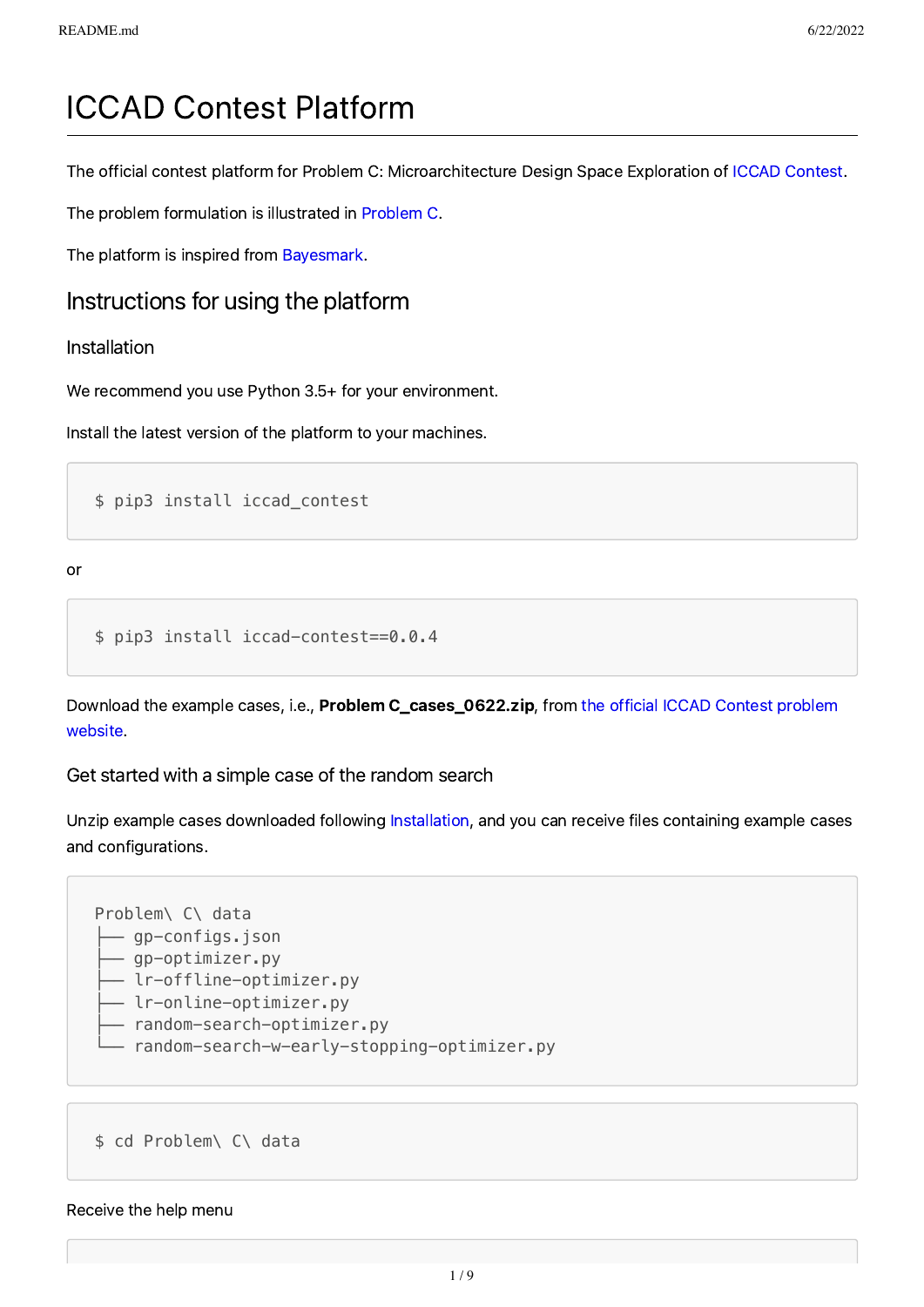# ICCAD Contest Platform

The official contest platform for Problem C: Microarchitecture Design Space Exploration of ICCAD [Contest](http://iccad-contest.org/).

The problem formulation is illustrated in [Problem](http://iccad-contest.org/Problems/CADContest_2022_Problem_C_20220218.pdf) C.

The platform is inspired from [Bayesmark](https://github.com/uber/bayesmark).

### Instructions for using the platform

#### <span id="page-0-0"></span>Installation

We recommend you use Python 3.5+ for your environment.

Install the latest version of the platform to your machines.

\$ pip3 install iccad\_contest

or

```
$ pip3 install iccad-contest==0.0.4
```
Download the example cases, i.e., Problem [C\\_cases\\_0622.zip,](http://iccad-contest.org/Problems.html) from the official ICCAD Contest problem website.

Get started with a simple case of the random search

Unzip example cases downloaded following [Installation](#page-0-0), and you can receive files containing example cases and configurations.



\$ cd Problem\ C\ data

#### Receive the help menu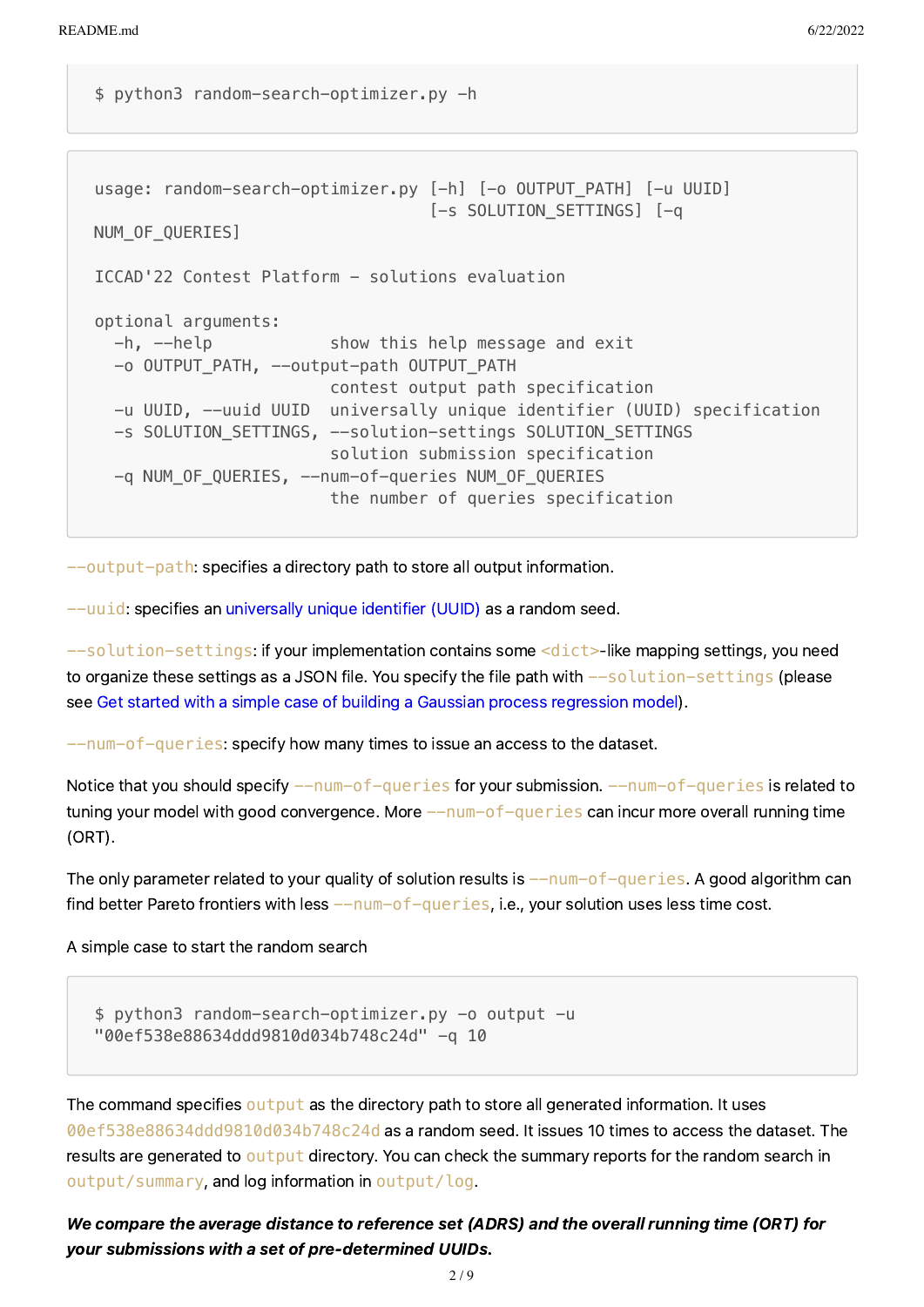\$ python3 random-search-optimizer.py -h

```
usage: random-search-optimizer.py [-h] [-o OUTPUT_PATH] [-u UUID]
                                  [-s SOLUTION_SETTINGS] [-q
NUM_OF_QUERIES]
ICCAD'22 Contest Platform - solutions evaluation
optional arguments:
  -h, --help show this help message and exit
  -o OUTPUT PATH, --output-path OUTPUT PATH
                        contest output path specification
   -u UUID, --uuid UUID universally unique identifier (UUID) specification
  -s SOLUTION_SETTINGS, --solution-settings SOLUTION_SETTINGS
                         solution submission specification
   -q NUM_OF_QUERIES, --num-of-queries NUM_OF_QUERIES
                         the number of queries specification
```
--output-path: specifies a directory path to store all output information.

--uuid: specifies an [universally](https://en.wikipedia.org/wiki/Universally_unique_identifier) unique identifier (UUID) as a random seed.

 $--$ solution-settings: if your implementation contains some  $<$ dict>-like mapping settings, you need to organize these settings as a JSON file. You specify the file path with  $--$ solution-settings (please see Get started with a simple case of building a Gaussian process [regression](#page-2-0) model).

 $-$ num-of-queries: specify how many times to issue an access to the dataset.

Notice that you should specify  $-\text{num-of-queries}$  for your submission.  $-\text{num-of-queries}$  is related to tuning your model with good convergence. More  $---num-of-queries$  can incur more overall running time (ORT).

The only parameter related to your quality of solution results is  $-\text{num-of-queries.}$  A good algorithm can find better Pareto frontiers with less  $-\text{num-of-queries}$ , i.e., your solution uses less time cost.

A simple case to start the random search

```
$ python3 random-search-optimizer.py -o output -u
"00ef538e88634ddd9810d034b748c24d" -q 10
```
The command specifies output as the directory path to store all generated information. It uses 00ef538e88634ddd9810d034b748c24d as a random seed. It issues 10 times to access the dataset. The results are generated to output directory. You can check the summary reports for the random search in output/summary, and log information in output/log.

We compare the average distance to reference set (ADRS) and the overall running time (ORT) for your submissions with a set of pre-determined UUIDs.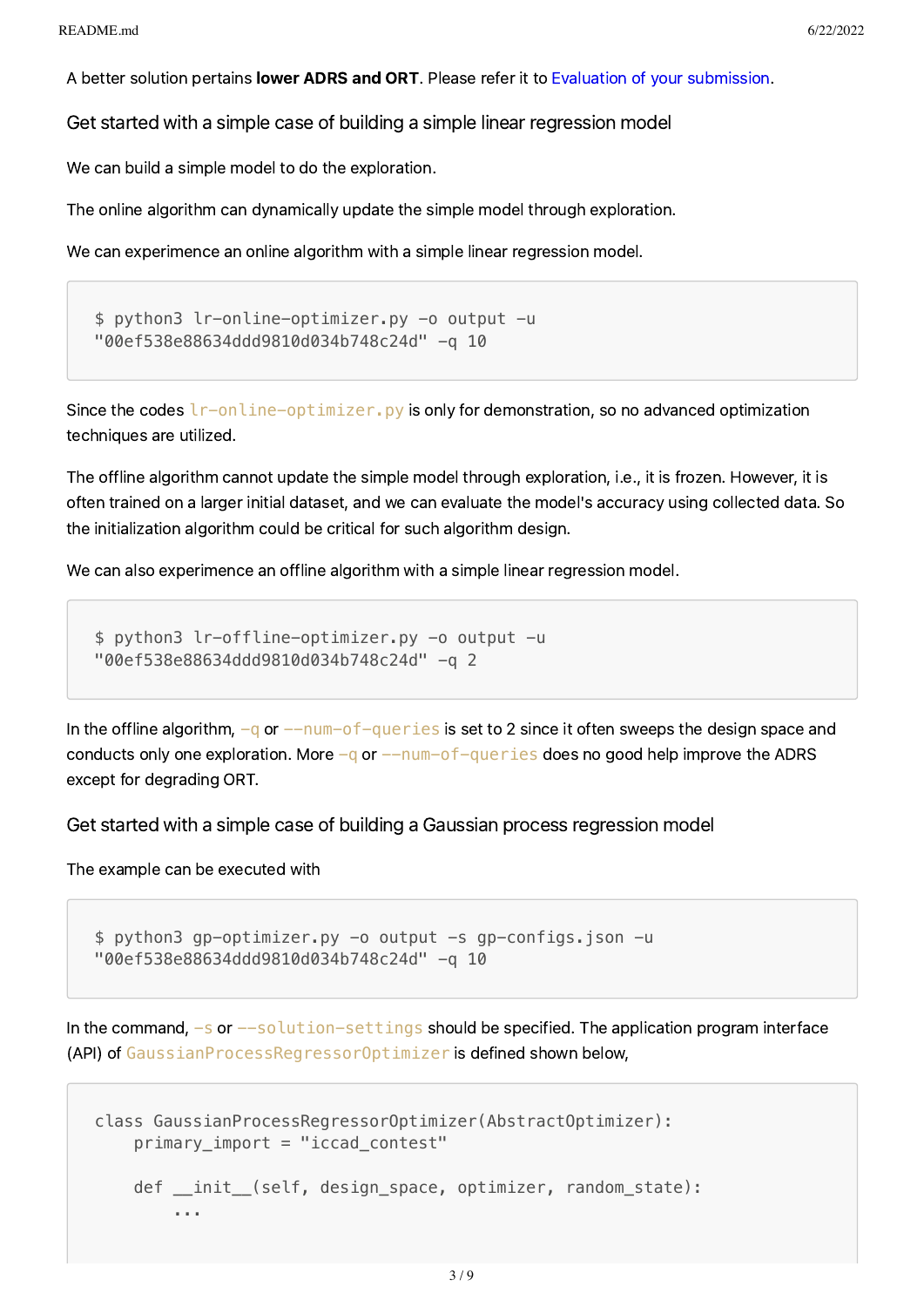A better solution pertains lower ADRS and ORT. Please refer it to Evaluation of your [submission.](#page-7-0)

Get started with a simple case of building a simple linear regression model

We can build a simple model to do the exploration.

The online algorithm can dynamically update the simple model through exploration.

We can experimence an online algorithm with a simple linear regression model.

```
$ python3 lr-online-optimizer.py -o output -u
"00ef538e88634ddd9810d034b748c24d" -q 10
```
Since the codes  $l$ r-online-optimizer. py is only for demonstration, so no advanced optimization techniques are utilized.

The offline algorithm cannot update the simple model through exploration, i.e., it is frozen. However, it is often trained on a larger initial dataset, and we can evaluate the model's accuracy using collected data. So the initialization algorithm could be critical for such algorithm design.

We can also experimence an offline algorithm with a simple linear regression model.

```
$ python3 lr-offline-optimizer.py -o output -u
"00ef538e88634ddd9810d034b748c24d" -q 2
```
In the offline algorithm,  $-q$  or  $-\text{num}-\text{of}-\text{queries}$  is set to 2 since it often sweeps the design space and conducts only one exploration. More  $-q$  or  $-$ num-of-queries does no good help improve the ADRS except for degrading ORT.

<span id="page-2-0"></span>Get started with a simple case of building a Gaussian process regression model

The example can be executed with

```
$ python3 gp-optimizer.py -o output -s gp-configs.json -u
"00ef538e88634ddd9810d034b748c24d" -q 10
```
In the command,  $-s$  or  $-solution-setting$  should be specified. The application program interface (API) of GaussianProcessRegressorOptimizer is defined shown below,

```
class GaussianProcessRegressorOptimizer(AbstractOptimizer):
     primary_import = "iccad_contest"
    def __init_(self, design_space, optimizer, random_state):
         ...
```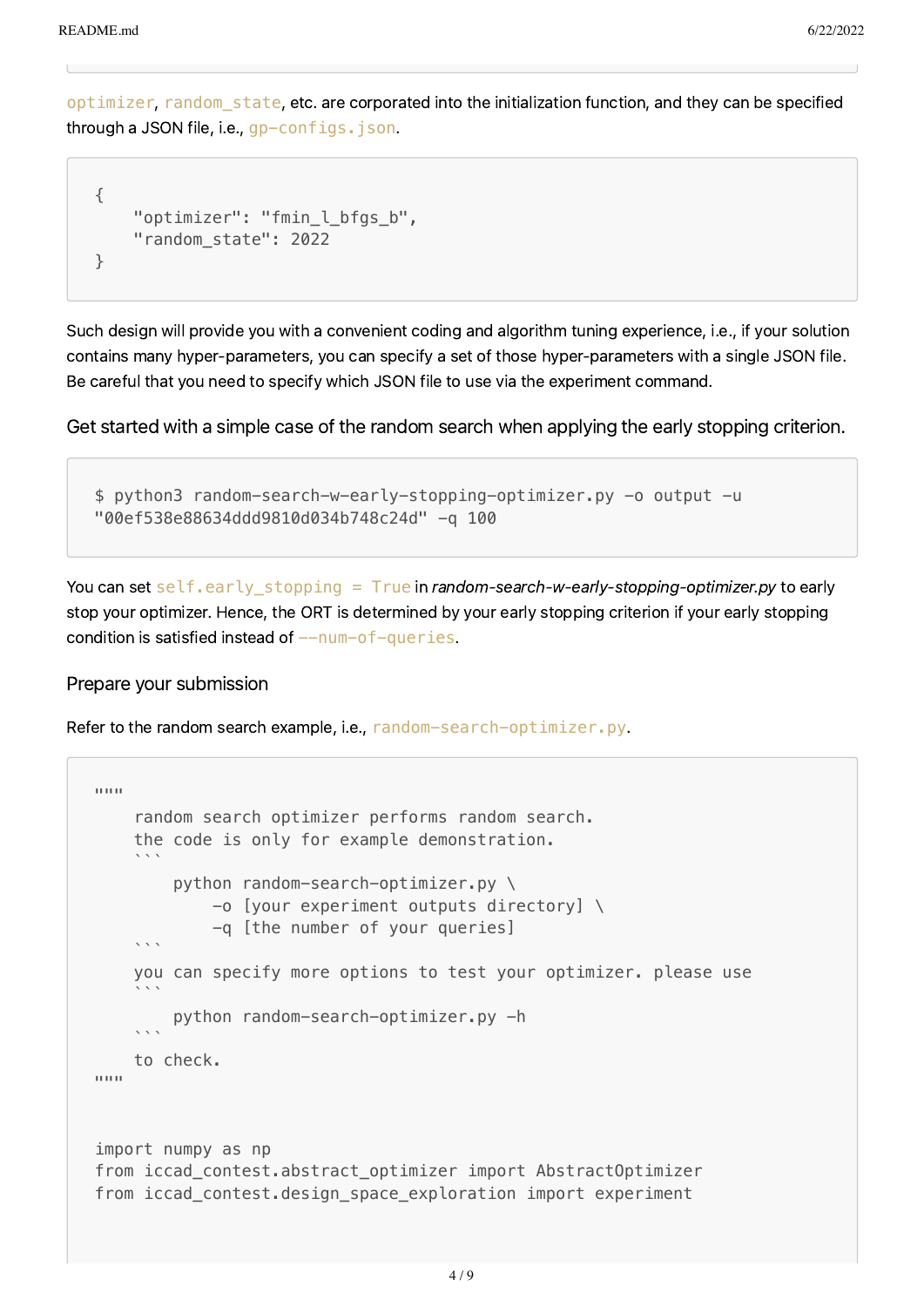optimizer, random\_state, etc. are corporated into the initialization function, and they can be specified through a JSON file, i.e., gp-configs. json.

```
{
    "optimizer": "fmin_l_bfgs_b",
    "random_state": 2022
}
```
Such design will provide you with a convenient coding and algorithm tuning experience, i.e., if your solution contains many hyper-parameters, you can specify a set of those hyper-parameters with a single JSON file. Be careful that you need to specify which JSON file to use via the experiment command.

Get started with a simple case of the random search when applying the early stopping criterion.

```
$ python3 random-search-w-early-stopping-optimizer.py -o output -u
"00ef538e88634ddd9810d034b748c24d" -q 100
```
You can set self.early stopping = True in random-search-w-early-stopping-optimizer.py to early stop your optimizer. Hence, the ORT is determined by your early stopping criterion if your early stopping condition is satisfied instead of  $-$ -num-of-queries.

Prepare your submission

Refer to the random search example, i.e., random-search-optimizer.py.

```
"""
     random search optimizer performs random search.
     the code is only for example demonstration.
\mathcal{L}^{\mathcal{L}} python random-search-optimizer.py \
              -o [your experiment outputs directory] \
    -q [the number of your queries]
\mathcal{L}^{\mathcal{L}} you can specify more options to test your optimizer. please use
\mathcal{L}^{\mathcal{L}} python random-search-optimizer.py -h
\mathcal{L}^{\mathcal{L}} to check.
"""
import numpy as np
from iccad contest.abstract optimizer import AbstractOptimizer
from iccad contest.design space exploration import experiment
```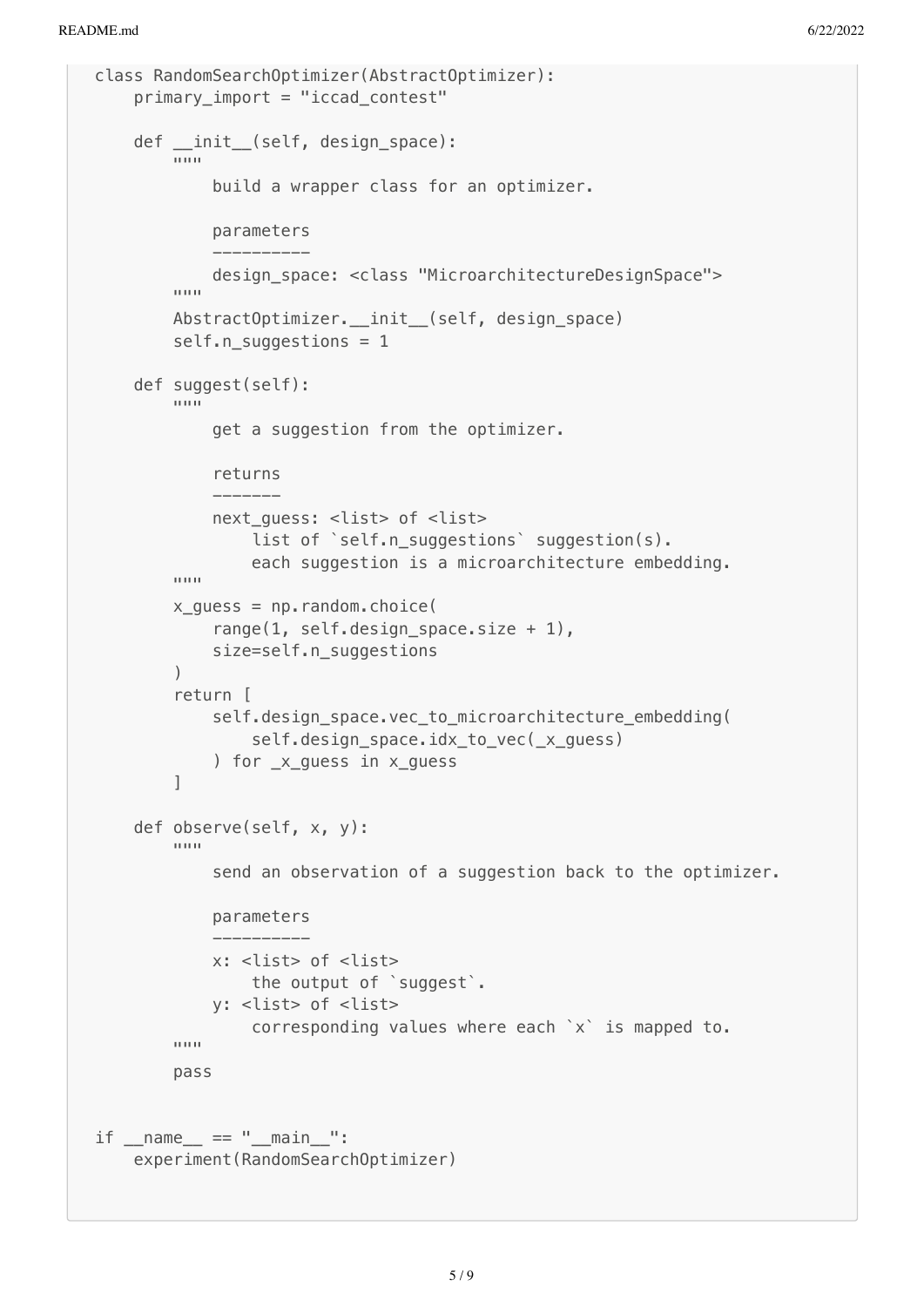```
class RandomSearchOptimizer(AbstractOptimizer):
     primary_import = "iccad_contest"
     def __init__(self, design_space):
        \cdots build a wrapper class for an optimizer.
             parameters
 ----------
             design_space: <class "MicroarchitectureDesignSpace">
        """""
        AbstractOptimizer. __init_(self, design_space)
         self.n_suggestions = 1
     def suggest(self):
        """"
             get a suggestion from the optimizer.
             returns
              -------
            next quess: <list> of <list>
                 list of `self.n_suggestions` suggestion(s).
                  each suggestion is a microarchitecture embedding.
        ^{\rm{m}}""
        x_guess = np.randomોcode range(1, self.design_space.size + 1),
             size=self.n_suggestions
\overline{\phantom{a}} return [
             self.design_space.vec_to_microarchitecture_embedding(
                 self.design_space.idx_to_vec(_x_guess)
            ) for x quess in x quess
         ]
     def observe(self, x, y):
        ^{\prime\prime\prime\prime\prime\prime\prime} send an observation of a suggestion back to the optimizer.
             parameters
 ----------
             x: <list> of <list>
                  the output of `suggest`.
             y: <list> of <list>
                  corresponding values where each `x` is mapped to.
 """
         pass
if name == " main ":
     experiment(RandomSearchOptimizer)
```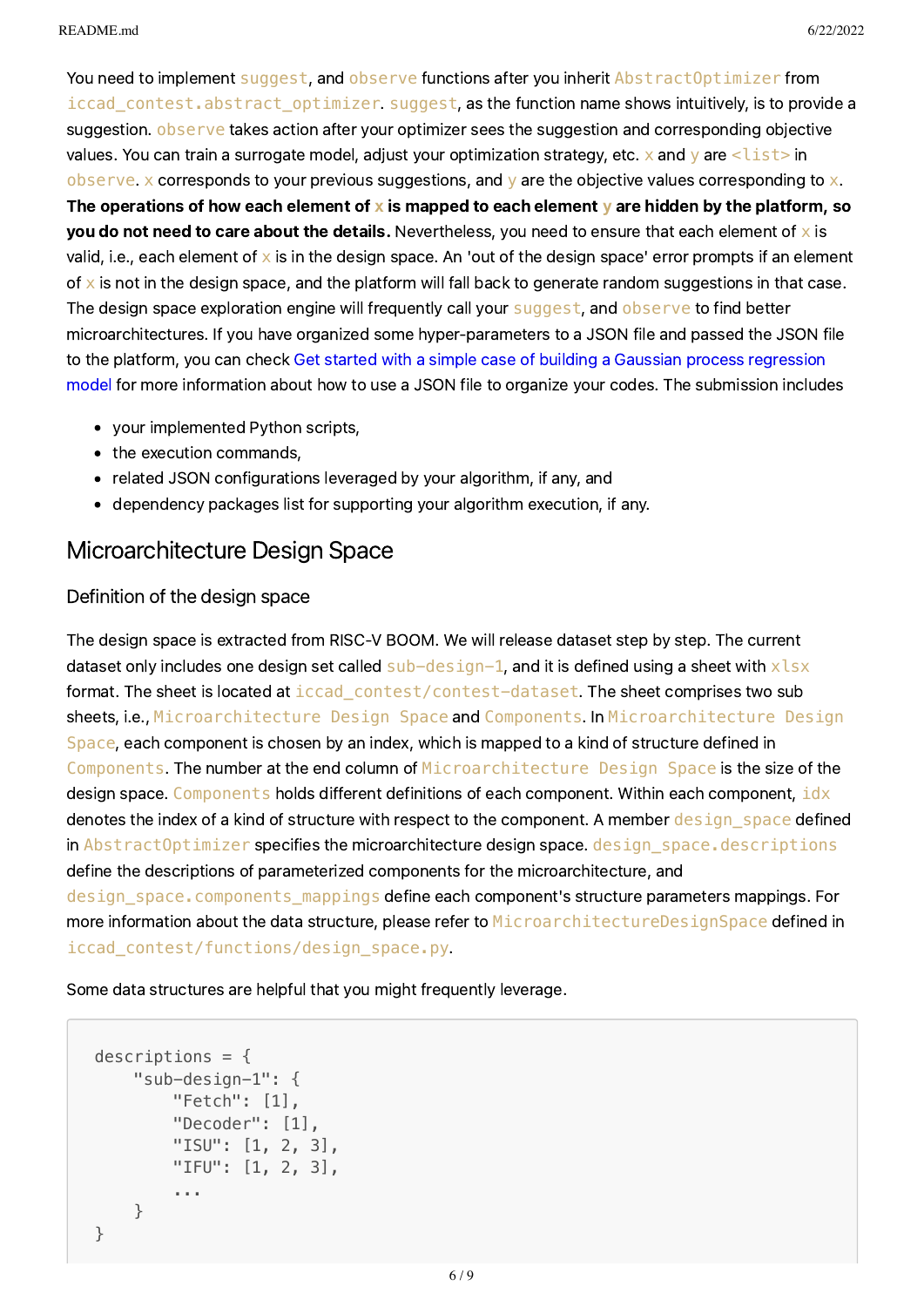You need to implement suggest, and observe functions after you inherit AbstractOptimizer from iccad contest.abstract optimizer suggest, as the function name shows intuitively, is to provide a suggestion. observe takes action after your optimizer sees the suggestion and corresponding objective values. You can train a surrogate model, adjust your optimization strategy, etc. x and y are <list>in observe. x corresponds to your previous suggestions, and y are the objective values corresponding to  $x$ . The operations of how each element of **x** is mapped to each element **y** are hidden by the platform, so you do not need to care about the details. Nevertheless, you need to ensure that each element of  $\times$  is valid, i.e., each element of  $x$  is in the design space. An 'out of the design space' error prompts if an element of  $x$  is not in the design space, and the platform will fall back to generate random suggestions in that case. The design space exploration engine will frequently call your suggest, and observe to find better microarchitectures. If you have organized some hyper-parameters to a JSON file and passed the JSON file to the platform, you can check Get started with a simple case of building a Gaussian process regression model for more [information](#page-2-0) about how to use a JSON file to organize your codes. The submission includes

- your implemented Python scripts,
- the execution commands,
- related JSON configurations leveraged by your algorithm, if any, and
- dependency packages list for supporting your algorithm execution, if any.

### Microarchitecture Design Space

### Definition of the design space

The design space is extracted from RISC-V BOOM. We will release dataset step by step. The current dataset only includes one design set called  $sub-design-1$ , and it is defined using a sheet with  $x$ lsx format. The sheet is located at iccad contest/contest-dataset. The sheet comprises two sub sheets, i.e., Microarchitecture Design Space and Components. In Microarchitecture Design Space, each component is chosen by an index, which is mapped to a kind of structure defined in Components. The number at the end column of Microarchitecture Design Space is the size of the design space. Components holds different definitions of each component. Within each component, idx denotes the index of a kind of structure with respect to the component. A member design space defined in AbstractOptimizer specifies the microarchitecture design space. design space.descriptions define the descriptions of parameterized components for the microarchitecture, and design space.components mappings define each component's structure parameters mappings. For more information about the data structure, please refer to MicroarchitectureDesignSpace defined in iccad\_contest/functions/design\_space.py.

Some data structures are helpful that you might frequently leverage.

```
descriptions = {
    "sub-design-1": {
        "Fetch": [1],
        "Decoder": [1],
        "ISU": [1, 2, 3],
        "IFU": [1, 2, 3],
        ...
    }
}
```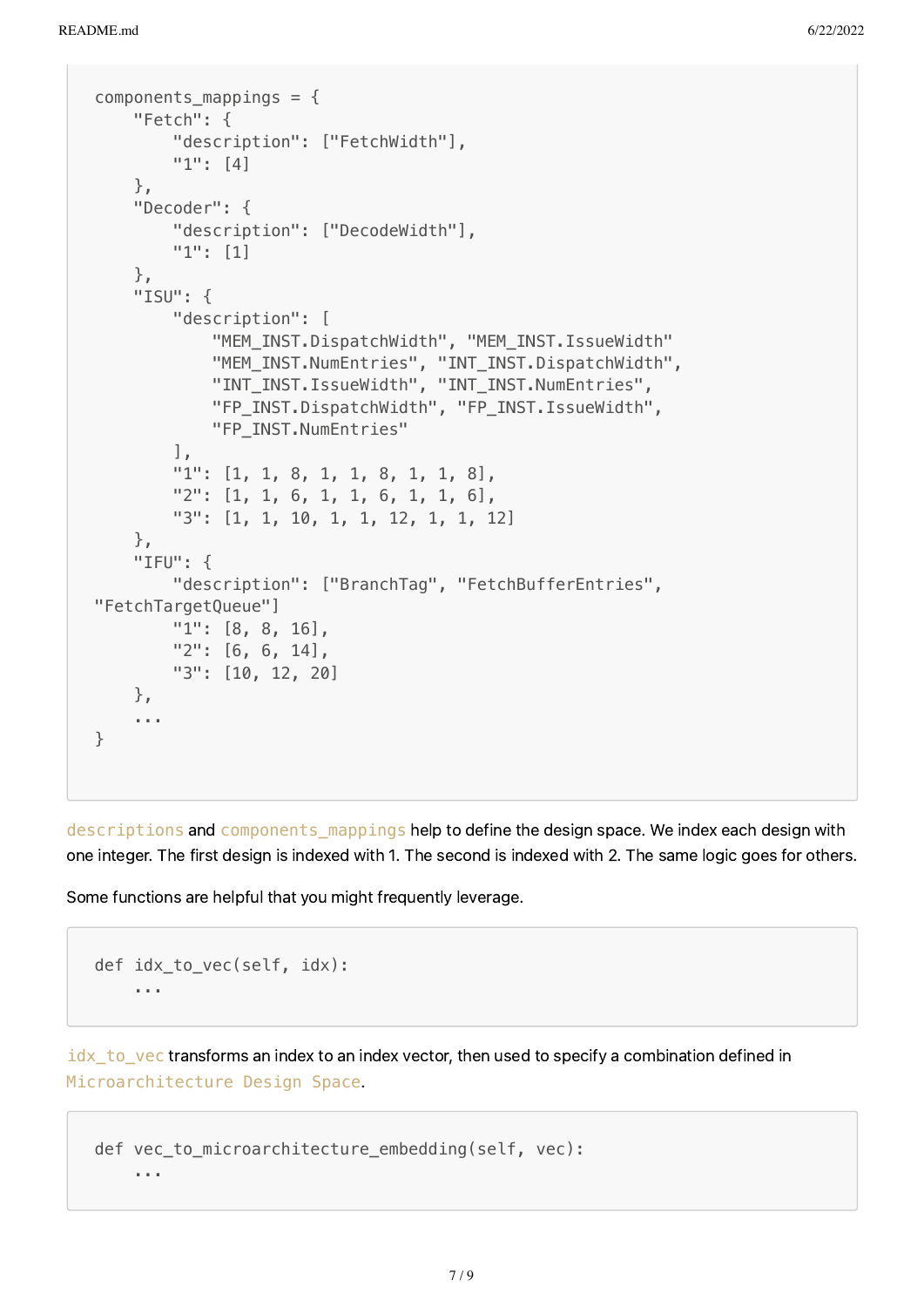```
components mappings = {
    "Fetch": {
        "description": ["FetchWidth"],
        "1": [4]
    },
    "Decoder": {
        "description": ["DecodeWidth"],
        "1": [1]
    },
    "ISU": {
        "description": [
            "MEM_INST.DispatchWidth", "MEM_INST.IssueWidth"
            "MEM_INST.NumEntries", "INT_INST.DispatchWidth",
            "INT_INST.IssueWidth", "INT_INST.NumEntries",
            "FP_INST.DispatchWidth", "FP_INST.IssueWidth",
            "FP_INST.NumEntries"
        ],
        "1": [1, 1, 8, 1, 1, 8, 1, 1, 8],
        "2": [1, 1, 6, 1, 1, 6, 1, 1, 6],
        "3": [1, 1, 10, 1, 1, 12, 1, 1, 12]
    },
    "IFU": {
        "description": ["BranchTag", "FetchBufferEntries",
"FetchTargetQueue"]
        "1": [8, 8, 16],
        "2": [6, 6, 14],
        "3": [10, 12, 20]
    },
    ...
}
```
descriptions and components mappings help to define the design space. We index each design with one integer. The first design is indexed with 1. The second is indexed with 2. The same logic goes for others.

Some functions are helpful that you might frequently leverage.

```
def idx to vec(self, idx):
    ...
```
 $i$ dx to vec transforms an index to an index vector, then used to specify a combination defined in Microarchitecture Design Space.

```
def vec to microarchitecture embedding(self, vec):
    ...
```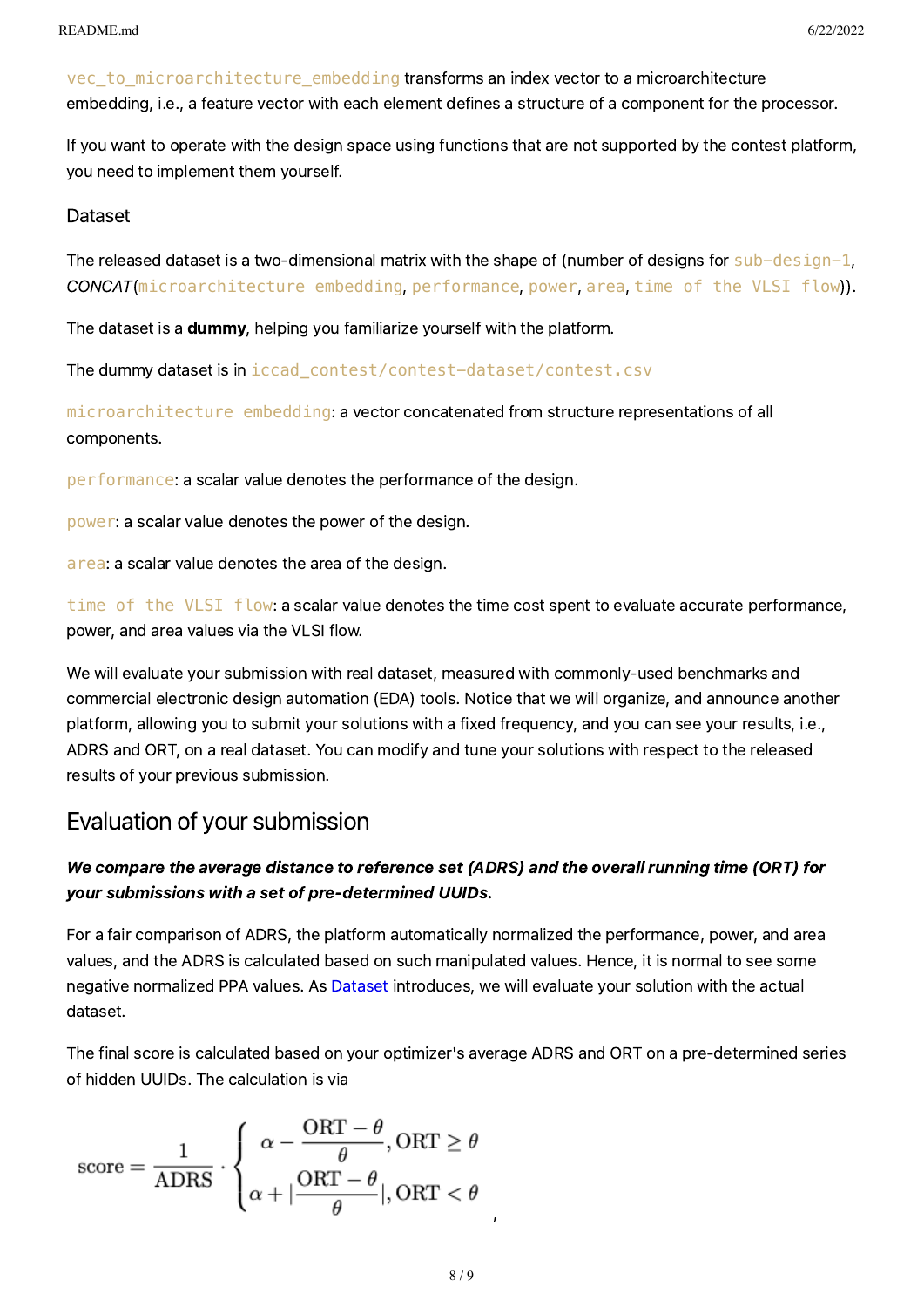vec to microarchitecture embedding transforms an index vector to a microarchitecture embedding, i.e., a feature vector with each element defines a structure of a component for the processor.

If you want to operate with the design space using functions that are not supported by the contest platform, you need to implement them yourself.

#### <span id="page-7-1"></span>**Dataset**

The released dataset is a two-dimensional matrix with the shape of (number of designs for sub-design-1, CONCAT(microarchitecture embedding, performance, power, area, time of the VLSI flow)).

The dataset is a dummy, helping you familiarize yourself with the platform.

The dummy dataset is in iccad\_contest/contest-dataset/contest.csv

microarchitecture embedding: a vector concatenated from structure representations of all components.

performance: a scalar value denotes the performance of the design.

power: a scalar value denotes the power of the design.

area: a scalar value denotes the area of the design.

time of the VLSI flow: a scalar value denotes the time cost spent to evaluate accurate performance, power, and area values via the VLSI flow.

We will evaluate your submission with real dataset, measured with commonly-used benchmarks and commercial electronic design automation (EDA) tools. Notice that we will organize, and announce another platform, allowing you to submit your solutions with a fixed frequency, and you can see your results, i.e., ADRS and ORT, on a real dataset. You can modify and tune your solutions with respect to the released results of your previous submission.

### <span id="page-7-0"></span>Evaluation of your submission

### We compare the average distance to reference set (ADRS) and the overall running time (ORT) for your submissions with a set of pre-determined UUIDs.

For a fair comparison of ADRS, the platform automatically normalized the performance, power, and area values, and the ADRS is calculated based on such manipulated values. Hence, it is normal to see some negative normalized PPA values. As [Dataset](#page-7-1) introduces, we will evaluate your solution with the actual dataset.

The final score is calculated based on your optimizer's average ADRS and ORT on a pre-determined series of hidden UUIDs. The calculation is via

$$
\text{score} = \frac{1}{\text{ADRS}} \cdot \left\{ \begin{aligned} \alpha - \frac{\text{ORT} - \theta}{\theta}, \text{ORT} &\geq \theta \\ \alpha + |\frac{\text{ORT} - \theta}{\theta}|, \text{ORT} &< \theta \end{aligned} \right.
$$

,